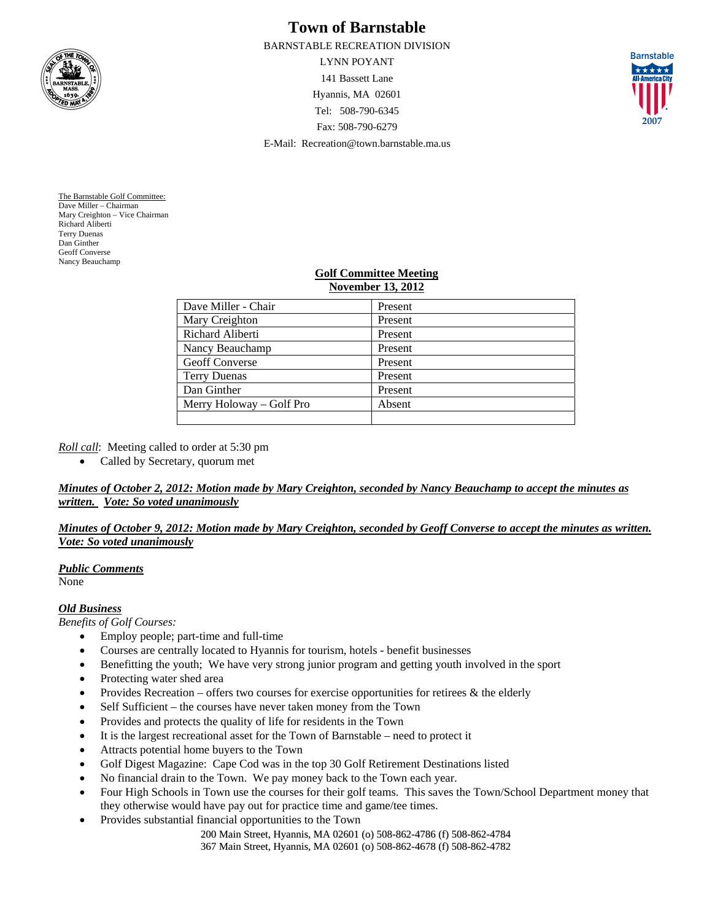

# **Town of Barnstable**

BARNSTABLE RECREATION DIVISION

LYNN POYANT 141 Bassett Lane Hyannis, MA 02601 Tel: 508-790-6345 Fax: 508-790-6279 E-Mail: Recreation@town.barnstable.ma.us



The Barnstable Golf Committee: Dave Miller – Chairman Mary Creighton – Vice Chairman Richard Aliberti Terry Duenas Dan Ginther Geoff Converse Nancy Beauchamp

### **Golf Committee Meeting November 13, 2012**

| Dave Miller - Chair      | Present |
|--------------------------|---------|
| Mary Creighton           | Present |
| Richard Aliberti         | Present |
| Nancy Beauchamp          | Present |
| <b>Geoff Converse</b>    | Present |
| <b>Terry Duenas</b>      | Present |
| Dan Ginther              | Present |
| Merry Holoway - Golf Pro | Absent  |
|                          |         |

*Roll call*: Meeting called to order at 5:30 pm

• Called by Secretary, quorum met

*Minutes of October 2, 2012: Motion made by Mary Creighton, seconded by Nancy Beauchamp to accept the minutes as written. Vote: So voted unanimously*

## *Minutes of October 9, 2012: Motion made by Mary Creighton, seconded by Geoff Converse to accept the minutes as written. Vote: So voted unanimously*

*Public Comments* None

## *Old Business*

*Benefits of Golf Courses:* 

- Employ people; part-time and full-time
- Courses are centrally located to Hyannis for tourism, hotels benefit businesses
- Benefitting the youth; We have very strong junior program and getting youth involved in the sport
- Protecting water shed area
- Provides Recreation offers two courses for exercise opportunities for retirees  $\&$  the elderly
- Self Sufficient the courses have never taken money from the Town
- Provides and protects the quality of life for residents in the Town
- It is the largest recreational asset for the Town of Barnstable need to protect it
- Attracts potential home buyers to the Town
- Golf Digest Magazine: Cape Cod was in the top 30 Golf Retirement Destinations listed
- No financial drain to the Town. We pay money back to the Town each year.
- Four High Schools in Town use the courses for their golf teams. This saves the Town/School Department money that they otherwise would have pay out for practice time and game/tee times.
- Provides substantial financial opportunities to the Town

200 Main Street, Hyannis, MA 02601 (o) 508-862-4786 (f) 508-862-4784 367 Main Street, Hyannis, MA 02601 (o) 508-862-4678 (f) 508-862-4782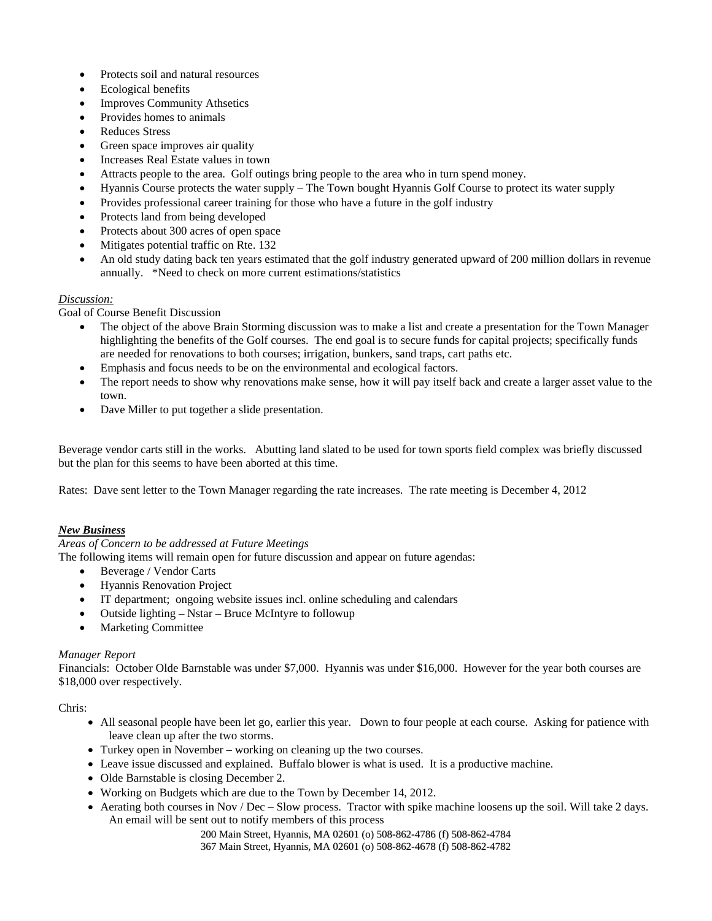- Protects soil and natural resources
- Ecological benefits
- Improves Community Athsetics
- Provides homes to animals
- Reduces Stress
- Green space improves air quality
- Increases Real Estate values in town
- Attracts people to the area. Golf outings bring people to the area who in turn spend money.
- Hyannis Course protects the water supply The Town bought Hyannis Golf Course to protect its water supply
- Provides professional career training for those who have a future in the golf industry
- Protects land from being developed
- Protects about 300 acres of open space
- Mitigates potential traffic on Rte. 132
- An old study dating back ten years estimated that the golf industry generated upward of 200 million dollars in revenue annually. \*Need to check on more current estimations/statistics

## *Discussion:*

Goal of Course Benefit Discussion

- The object of the above Brain Storming discussion was to make a list and create a presentation for the Town Manager highlighting the benefits of the Golf courses. The end goal is to secure funds for capital projects; specifically funds are needed for renovations to both courses; irrigation, bunkers, sand traps, cart paths etc.
- Emphasis and focus needs to be on the environmental and ecological factors.
- The report needs to show why renovations make sense, how it will pay itself back and create a larger asset value to the town.
- Dave Miller to put together a slide presentation.

Beverage vendor carts still in the works. Abutting land slated to be used for town sports field complex was briefly discussed but the plan for this seems to have been aborted at this time.

Rates: Dave sent letter to the Town Manager regarding the rate increases. The rate meeting is December 4, 2012

### *New Business*

## *Areas of Concern to be addressed at Future Meetings*

The following items will remain open for future discussion and appear on future agendas:

- Beverage / Vendor Carts
- Hyannis Renovation Project
- IT department; ongoing website issues incl. online scheduling and calendars
- Outside lighting Nstar Bruce McIntyre to followup
- Marketing Committee

### *Manager Report*

Financials: October Olde Barnstable was under \$7,000. Hyannis was under \$16,000. However for the year both courses are \$18,000 over respectively.

Chris:

- All seasonal people have been let go, earlier this year. Down to four people at each course. Asking for patience with leave clean up after the two storms.
- Turkey open in November working on cleaning up the two courses.
- Leave issue discussed and explained. Buffalo blower is what is used. It is a productive machine.
- Olde Barnstable is closing December 2.
- Working on Budgets which are due to the Town by December 14, 2012.
- Aerating both courses in Nov / Dec Slow process. Tractor with spike machine loosens up the soil. Will take 2 days. An email will be sent out to notify members of this process

200 Main Street, Hyannis, MA 02601 (o) 508-862-4786 (f) 508-862-4784

367 Main Street, Hyannis, MA 02601 (o) 508-862-4678 (f) 508-862-4782